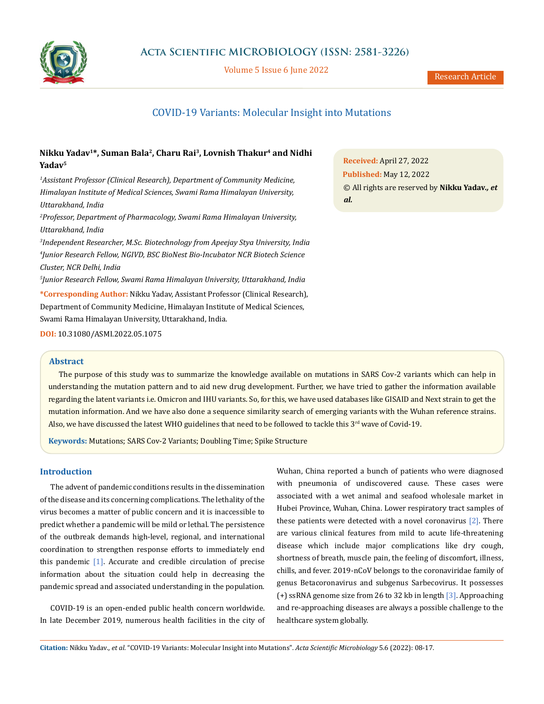

Volume 5 Issue 6 June 2022

# COVID-19 Variants: Molecular Insight into Mutations

# **Nikku Yadav1\*, Suman Bala2, Charu Rai3, Lovnish Thakur4 and Nidhi Yadav5**

<sup>1</sup> Assistant Professor (Clinical Research), Department of Community Medicine, *Himalayan Institute of Medical Sciences, Swami Rama Himalayan University, Uttarakhand, India*

*2 Professor, Department of Pharmacology, Swami Rama Himalayan University, Uttarakhand, India*

*3 Independent Researcher, M.Sc. Biotechnology from Apeejay Stya University, India 4 Junior Research Fellow, NGIVD, BSC BioNest Bio-Incubator NCR Biotech Science Cluster, NCR Delhi, India*

*5 Junior Research Fellow, Swami Rama Himalayan University, Uttarakhand, India*

**\*Corresponding Author:** Nikku Yadav, Assistant Professor (Clinical Research), Department of Community Medicine, Himalayan Institute of Medical Sciences, Swami Rama Himalayan University, Uttarakhand, India.

**DOI:** [10.31080/ASMI.2022.05.1075](http://actascientific.com/ASMI/pdf/ASMI-05-1075.pdf)

### **Abstract**

The purpose of this study was to summarize the knowledge available on mutations in SARS Cov-2 variants which can help in understanding the mutation pattern and to aid new drug development. Further, we have tried to gather the information available regarding the latent variants i.e. Omicron and IHU variants. So, for this, we have used databases like GISAID and Next strain to get the mutation information. And we have also done a sequence similarity search of emerging variants with the Wuhan reference strains. Also, we have discussed the latest WHO guidelines that need to be followed to tackle this  $3<sup>rd</sup>$  wave of Covid-19.

**Keywords:** Mutations; SARS Cov-2 Variants; Doubling Time; Spike Structure

### **Introduction**

The advent of pandemic conditions results in the dissemination of the disease and its concerning complications. The lethality of the virus becomes a matter of public concern and it is inaccessible to predict whether a pandemic will be mild or lethal. The persistence of the outbreak demands high-level, regional, and international coordination to strengthen response efforts to immediately end this pandemic [1]. Accurate and credible circulation of precise information about the situation could help in decreasing the pandemic spread and associated understanding in the population.

COVID-19 is an open-ended public health concern worldwide. In late December 2019, numerous health facilities in the city of Wuhan, China reported a bunch of patients who were diagnosed with pneumonia of undiscovered cause. These cases were associated with a wet animal and seafood wholesale market in Hubei Province, Wuhan, China. Lower respiratory tract samples of these patients were detected with a novel coronavirus  $[2]$ . There are various clinical features from mild to acute life-threatening disease which include major complications like dry cough, shortness of breath, muscle pain, the feeling of discomfort, illness, chills, and fever. 2019-nCoV belongs to the coronaviridae family of genus Betacoronavirus and subgenus Sarbecovirus. It possesses (+) ssRNA genome size from 26 to 32 kb in length [3]. Approaching and re-approaching diseases are always a possible challenge to the healthcare system globally.

**Received:** April 27, 2022 **Published:** May 12, 2022 © All rights are reserved by **Nikku Yadav***., et al.*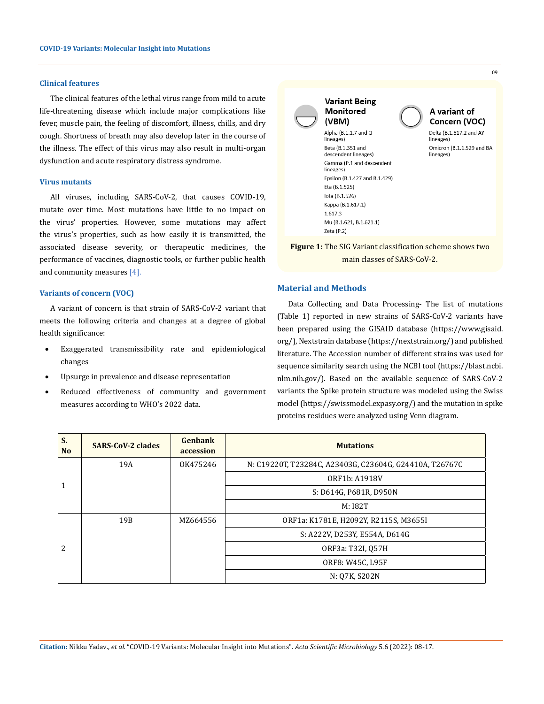### **Clinical features**

The clinical features of the lethal virus range from mild to acute life-threatening disease which include major complications like fever, muscle pain, the feeling of discomfort, illness, chills, and dry cough. Shortness of breath may also develop later in the course of the illness. The effect of this virus may also result in multi-organ dysfunction and acute respiratory distress syndrome.

### **Virus mutants**

All viruses, including SARS-CoV-2, that causes COVID-19, mutate over time. Most mutations have little to no impact on the virus' properties. However, some mutations may affect the virus's properties, such as how easily it is transmitted, the associated disease severity, or therapeutic medicines, the performance of vaccines, diagnostic tools, or further public health and community measures [4].

### **Variants of concern (VOC)**

A variant of concern is that strain of SARS-CoV-2 variant that meets the following criteria and changes at a degree of global health significance:

- Exaggerated transmissibility rate and epidemiological changes
- Upsurge in prevalence and disease representation
- Reduced effectiveness of community and government measures according to WHO's 2022 data.



09

**Figure 1:** The SIG Variant classification scheme shows two main classes of SARS-CoV-2.

### **Material and Methods**

Data Collecting and Data Processing- The list of mutations (Table 1) reported in new strains of SARS-CoV-2 variants have been prepared using the GISAID database (https://www.gisaid. org/), Nextstrain database (https://nextstrain.org/) and published literature. The Accession number of different strains was used for sequence similarity search using the NCBI tool (https://blast.ncbi. nlm.nih.gov/). Based on the available sequence of SARS-CoV-2 variants the Spike protein structure was modeled using the Swiss model (https://swissmodel.expasy.org/) and the mutation in spike proteins residues were analyzed using Venn diagram.

| S.<br>N <sub>o</sub> | <b>SARS-CoV-2 clades</b> | Genbank<br>accession | <b>Mutations</b>                                        |
|----------------------|--------------------------|----------------------|---------------------------------------------------------|
| 1                    | 19A                      | OK475246             | N: C19220T, T23284C, A23403G, C23604G, G24410A, T26767C |
|                      |                          |                      | ORF1b: A1918V                                           |
|                      |                          |                      | S: D614G, P681R, D950N                                  |
|                      |                          |                      | M: I82T                                                 |
| 2                    | 19B                      | MZ664556             | ORF1a: K1781E, H2092Y, R2115S, M3655I                   |
|                      |                          |                      | S: A222V, D253Y, E554A, D614G                           |
|                      |                          |                      | ORF3a: T32I, O57H                                       |
|                      |                          |                      | ORF8: W45C, L95F                                        |
|                      |                          |                      | N: 07K, S202N                                           |

**Citation:** Nikku Yadav*., et al.* "COVID-19 Variants: Molecular Insight into Mutations". *Acta Scientific Microbiology* 5.6 (2022): 08-17.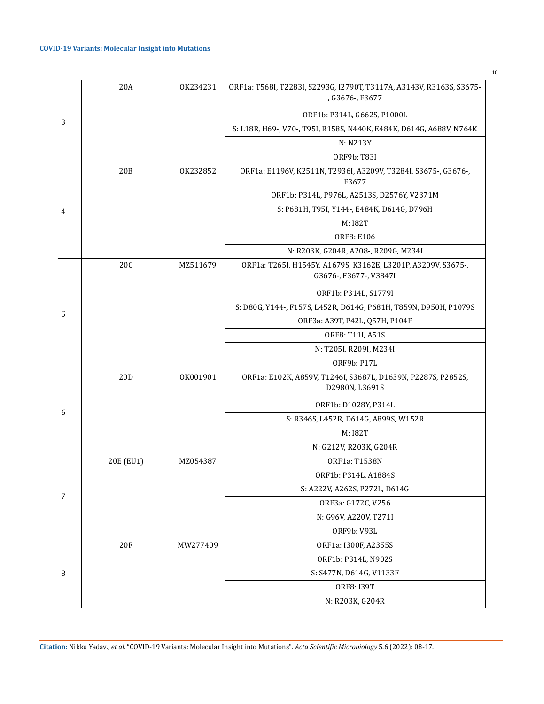|   | 20A        | OK234231 | ORF1a: T568I, T2283I, S2293G, I2790T, T3117A, A3143V, R3163S, S3675-<br>, G3676-, F3677 |
|---|------------|----------|-----------------------------------------------------------------------------------------|
|   |            |          | ORF1b: P314L, G662S, P1000L                                                             |
| 3 |            |          | S: L18R, H69-, V70-, T95I, R158S, N440K, E484K, D614G, A688V, N764K                     |
|   |            |          | N: N213Y                                                                                |
|   |            |          | ORF9b: T83I                                                                             |
|   | 20B        | OK232852 | ORF1a: E1196V, K2511N, T2936I, A3209V, T3284I, S3675-, G3676-,<br>F3677                 |
|   |            |          | ORF1b: P314L, P976L, A2513S, D2576Y, V2371M                                             |
| 4 |            |          | S: P681H, T95I, Y144-, E484K, D614G, D796H                                              |
|   |            |          | M: I82T                                                                                 |
|   |            |          | <b>ORF8: E106</b>                                                                       |
|   |            |          | N: R203K, G204R, A208-, R209G, M234I                                                    |
|   | 20C        | MZ511679 | ORF1a: T265I, H1545Y, A1679S, K3162E, L3201P, A3209V, S3675-,<br>G3676-, F3677-, V3847I |
|   |            |          | ORF1b: P314L, S1779I                                                                    |
|   |            |          | S: D80G, Y144-, F157S, L452R, D614G, P681H, T859N, D950H, P1079S                        |
| 5 |            |          | ORF3a: A39T, P42L, Q57H, P104F                                                          |
|   |            |          | ORF8: T11I, A51S                                                                        |
|   |            |          | N: T205I, R209I, M234I                                                                  |
|   |            |          | ORF9b: P17L                                                                             |
|   | 20D        | OK001901 | ORF1a: E102K, A859V, T1246I, S3687L, D1639N, P2287S, P2852S,<br>D2980N, L3691S          |
|   |            |          | ORF1b: D1028Y, P314L                                                                    |
| 6 |            |          | S: R346S, L452R, D614G, A899S, W152R                                                    |
|   |            |          | M: I82T                                                                                 |
|   |            |          | N: G212V, R203K, G204R                                                                  |
|   | 20E (EU1)  | MZ054387 | ORF1a: T1538N                                                                           |
|   |            |          | ORF1b: P314L, A1884S                                                                    |
| 7 |            |          | S: A222V, A262S, P272L, D614G                                                           |
|   |            |          | ORF3a: G172C, V256                                                                      |
|   |            |          | N: G96V, A220V, T271I                                                                   |
|   |            |          | ORF9b: V93L                                                                             |
|   | <b>20F</b> | MW277409 | ORF1a: I300F, A2355S                                                                    |
|   |            |          | ORF1b: P314L, N902S                                                                     |
| 8 |            |          | S: S477N, D614G, V1133F                                                                 |
|   |            |          | ORF8: I39T                                                                              |
|   |            |          | N: R203K, G204R                                                                         |

10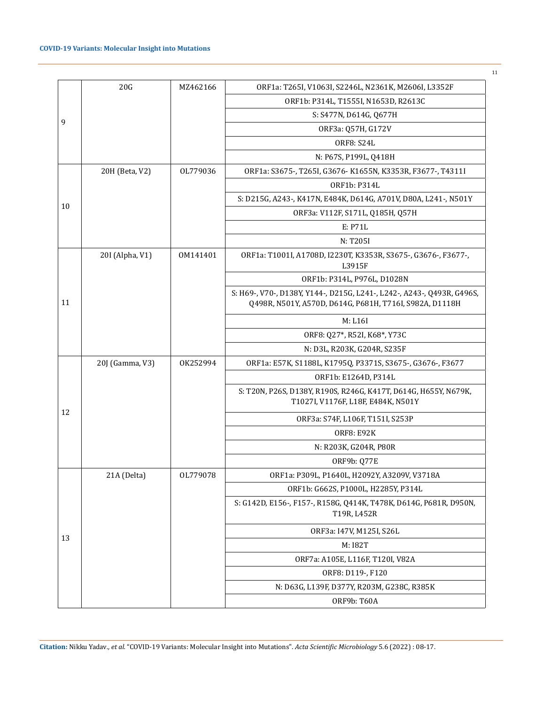|    | 20G             | MZ462166 | ORF1a: T265I, V1063I, S2246L, N2361K, M2606I, L3352F                                                                              |
|----|-----------------|----------|-----------------------------------------------------------------------------------------------------------------------------------|
|    |                 |          | ORF1b: P314L, T1555I, N1653D, R2613C                                                                                              |
|    |                 |          | S: S477N, D614G, Q677H                                                                                                            |
| 9  |                 |          | ORF3a: Q57H, G172V                                                                                                                |
|    |                 |          | <b>ORF8: S24L</b>                                                                                                                 |
|    |                 |          | N: P67S, P199L, Q418H                                                                                                             |
|    | 20H (Beta, V2)  | OL779036 | ORF1a: S3675-, T265I, G3676-K1655N, K3353R, F3677-, T4311I                                                                        |
|    |                 |          | ORF1b: P314L                                                                                                                      |
|    |                 |          | S: D215G, A243-, K417N, E484K, D614G, A701V, D80A, L241-, N501Y                                                                   |
| 10 |                 |          | ORF3a: V112F, S171L, Q185H, Q57H                                                                                                  |
|    |                 |          | E: P71L                                                                                                                           |
|    |                 |          | N: T205I                                                                                                                          |
|    | 20I (Alpha, V1) | OM141401 | ORF1a: T1001I, A1708D, I2230T, K3353R, S3675-, G3676-, F3677-,<br>L3915F                                                          |
|    |                 |          | ORF1b: P314L, P976L, D1028N                                                                                                       |
| 11 |                 |          | S: H69-, V70-, D138Y, Y144-, D215G, L241-, L242-, A243-, Q493R, G496S,<br>Q498R, N501Y, A570D, D614G, P681H, T716I, S982A, D1118H |
|    |                 |          | M: L16I                                                                                                                           |
|    |                 |          | ORF8: Q27*, R52I, K68*, Y73C                                                                                                      |
|    |                 |          | N: D3L, R203K, G204R, S235F                                                                                                       |
|    | 20J (Gamma, V3) | OK252994 | ORF1a: E57K, S1188L, K1795Q, P3371S, S3675-, G3676-, F3677                                                                        |
|    |                 |          | ORF1b: E1264D, P314L                                                                                                              |
|    |                 |          | S: T20N, P26S, D138Y, R190S, R246G, K417T, D614G, H655Y, N679K,<br>T1027I, V1176F, L18F, E484K, N501Y                             |
| 12 |                 |          | ORF3a: S74F, L106F, T151I, S253P                                                                                                  |
|    |                 |          | <b>ORF8: E92K</b>                                                                                                                 |
|    |                 |          | N: R203K, G204R, P80R                                                                                                             |
|    |                 |          | ORF9b: Q77E                                                                                                                       |
|    | 21A (Delta)     | OL779078 | ORF1a: P309L, P1640L, H2092Y, A3209V, V3718A                                                                                      |
|    |                 |          | ORF1b: G662S, P1000L, H2285Y, P314L                                                                                               |
|    |                 |          | S: G142D, E156-, F157-, R158G, Q414K, T478K, D614G, P681R, D950N,<br>T19R, L452R                                                  |
|    |                 |          | ORF3a: I47V, M125I, S26L                                                                                                          |
| 13 |                 |          | M: I82T                                                                                                                           |
|    |                 |          | ORF7a: A105E, L116F, T120I, V82A                                                                                                  |
|    |                 |          | ORF8: D119-, F120                                                                                                                 |
|    |                 |          | N: D63G, L139F, D377Y, R203M, G238C, R385K                                                                                        |
|    |                 |          | ORF9b: T60A                                                                                                                       |

**Citation:** Nikku Yadav*., et al.* "COVID-19 Variants: Molecular Insight into Mutations". *Acta Scientific Microbiology* 5.6 (2022) : 08-17.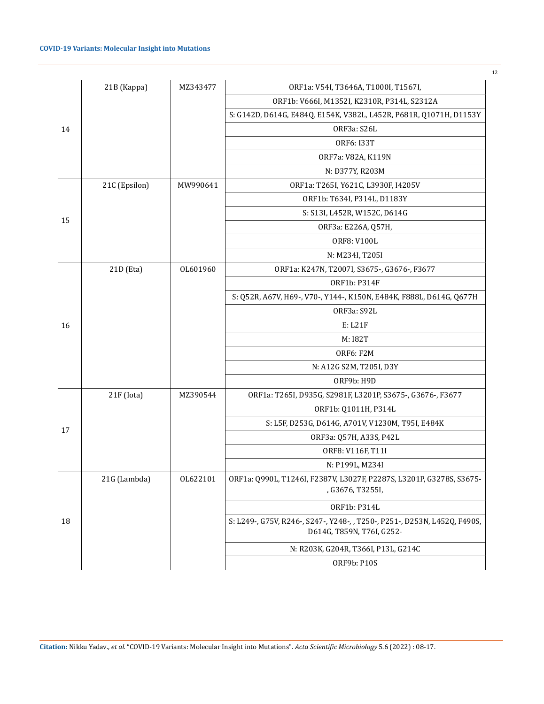|    | 21B (Kappa)   | MZ343477 | ORF1a: V54I, T3646A, T1000I, T1567I,                                                                   |
|----|---------------|----------|--------------------------------------------------------------------------------------------------------|
|    |               |          | ORF1b: V666I, M1352I, K2310R, P314L, S2312A                                                            |
|    |               |          | S: G142D, D614G, E484Q, E154K, V382L, L452R, P681R, Q1071H, D1153Y                                     |
| 14 |               |          | ORF3a: S26L                                                                                            |
|    |               |          | ORF6: I33T                                                                                             |
|    |               |          | ORF7a: V82A, K119N                                                                                     |
|    |               |          | N: D377Y, R203M                                                                                        |
|    | 21C (Epsilon) | MW990641 | ORF1a: T265I, Y621C, L3930F, I4205V                                                                    |
|    |               |          | ORF1b: T634I, P314L, D1183Y                                                                            |
|    |               |          | S: S13I, L452R, W152C, D614G                                                                           |
| 15 |               |          | ORF3a: E226A, Q57H,                                                                                    |
|    |               |          | ORF8: V100L                                                                                            |
|    |               |          | N: M234I, T205I                                                                                        |
|    | 21D (Eta)     | OL601960 | ORF1a: K247N, T2007I, S3675-, G3676-, F3677                                                            |
|    |               |          | ORF1b: P314F                                                                                           |
|    |               |          | S: Q52R, A67V, H69-, V70-, Y144-, K150N, E484K, F888L, D614G, Q677H                                    |
|    |               |          | ORF3a: S92L                                                                                            |
| 16 |               |          | E: L21F                                                                                                |
|    |               |          | M: I82T                                                                                                |
|    |               |          | ORF6: F2M                                                                                              |
|    |               |          | N: A12G S2M, T205I, D3Y                                                                                |
|    |               |          | ORF9b: H9D                                                                                             |
|    | 21F (Iota)    | MZ390544 | ORF1a: T265I, D935G, S2981F, L3201P, S3675-, G3676-, F3677                                             |
|    |               |          | ORF1b: Q1011H, P314L                                                                                   |
| 17 |               |          | S: L5F, D253G, D614G, A701V, V1230M, T95I, E484K                                                       |
|    |               |          | ORF3a: Q57H, A33S, P42L                                                                                |
|    |               |          | ORF8: V116F, T11I                                                                                      |
|    |               |          | N: P199L, M234I                                                                                        |
|    | 21G (Lambda)  | OL622101 | ORF1a: Q990L, T1246I, F2387V, L3027F, P2287S, L3201P, G3278S, S3675-<br>, G3676, T3255I,               |
|    |               |          | ORF1b: P314L                                                                                           |
| 18 |               |          | S: L249-, G75V, R246-, S247-, Y248-, , T250-, P251-, D253N, L452Q, F490S,<br>D614G, T859N, T76I, G252- |
|    |               |          | N: R203K, G204R, T366I, P13L, G214C                                                                    |
|    |               |          | <b>ORF9b: P10S</b>                                                                                     |
|    |               |          |                                                                                                        |

12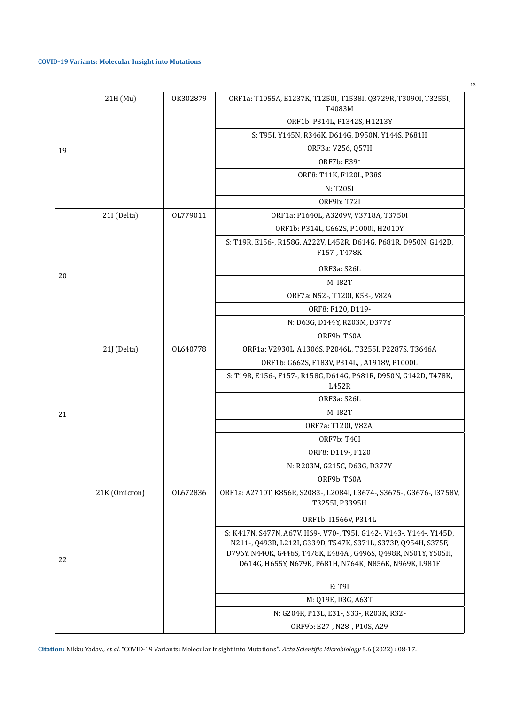## **COVID-19 Variants: Molecular Insight into Mutations**

|    | 21H (Mu)      | OK302879 | ORF1a: T1055A, E1237K, T1250I, T1538I, Q3729R, T3090I, T3255I,                                                                                                                                                                                                     |
|----|---------------|----------|--------------------------------------------------------------------------------------------------------------------------------------------------------------------------------------------------------------------------------------------------------------------|
|    |               |          | T4083M<br>ORF1b: P314L, P1342S, H1213Y                                                                                                                                                                                                                             |
|    |               |          | S: T951, Y145N, R346K, D614G, D950N, Y144S, P681H                                                                                                                                                                                                                  |
|    |               |          | ORF3a: V256, Q57H                                                                                                                                                                                                                                                  |
| 19 |               |          | ORF7b: E39*                                                                                                                                                                                                                                                        |
|    |               |          | ORF8: T11K, F120L, P38S                                                                                                                                                                                                                                            |
|    |               |          | N: T205I                                                                                                                                                                                                                                                           |
|    |               |          | ORF9b: T72I                                                                                                                                                                                                                                                        |
|    | 21I (Delta)   | OL779011 | ORF1a: P1640L, A3209V, V3718A, T3750I                                                                                                                                                                                                                              |
|    |               |          |                                                                                                                                                                                                                                                                    |
|    |               |          | ORF1b: P314L, G662S, P1000I, H2010Y                                                                                                                                                                                                                                |
|    |               |          | S: T19R, E156-, R158G, A222V, L452R, D614G, P681R, D950N, G142D,<br>F157-, T478K                                                                                                                                                                                   |
| 20 |               |          | ORF3a: S26L                                                                                                                                                                                                                                                        |
|    |               |          | M: I82T                                                                                                                                                                                                                                                            |
|    |               |          | ORF7a: N52-, T120I, K53-, V82A                                                                                                                                                                                                                                     |
|    |               |          | ORF8: F120, D119-                                                                                                                                                                                                                                                  |
|    |               |          | N: D63G, D144Y, R203M, D377Y                                                                                                                                                                                                                                       |
|    |               |          | ORF9b: T60A                                                                                                                                                                                                                                                        |
|    | 21J (Delta)   | OL640778 | ORF1a: V2930L, A1306S, P2046L, T3255I, P2287S, T3646A                                                                                                                                                                                                              |
|    |               |          | ORF1b: G662S, F183V, P314L, , A1918V, P1000L                                                                                                                                                                                                                       |
|    |               |          | S: T19R, E156-, F157-, R158G, D614G, P681R, D950N, G142D, T478K,<br>L452R                                                                                                                                                                                          |
|    |               |          | ORF3a: S26L                                                                                                                                                                                                                                                        |
| 21 |               |          | M: I82T                                                                                                                                                                                                                                                            |
|    |               |          | ORF7a: T120I, V82A,                                                                                                                                                                                                                                                |
|    |               |          | <b>ORF7b: T40I</b>                                                                                                                                                                                                                                                 |
|    |               |          | ORF8: D119-, F120                                                                                                                                                                                                                                                  |
|    |               |          | N: R203M, G215C, D63G, D377Y                                                                                                                                                                                                                                       |
|    |               |          | ORF9b: T60A                                                                                                                                                                                                                                                        |
|    | 21K (Omicron) | OL672836 | ORF1a: A2710T, K856R, S2083-, L2084I, L3674-, S3675-, G3676-, I3758V,<br>T3255I, P3395H                                                                                                                                                                            |
|    |               |          | ORF1b: I1566V, P314L                                                                                                                                                                                                                                               |
| 22 |               |          | S: K417N, S477N, A67V, H69-, V70-, T95I, G142-, V143-, Y144-, Y145D,<br>N211-, Q493R, L212I, G339D, T547K, S371L, S373P, Q954H, S375F,<br>D796Y, N440K, G446S, T478K, E484A, G496S, Q498R, N501Y, Y505H,<br>D614G, H655Y, N679K, P681H, N764K, N856K, N969K, L981F |
|    |               |          |                                                                                                                                                                                                                                                                    |
|    |               |          |                                                                                                                                                                                                                                                                    |
|    |               |          |                                                                                                                                                                                                                                                                    |
|    |               |          |                                                                                                                                                                                                                                                                    |
|    |               |          | E: T9I<br>M: Q19E, D3G, A63T<br>N: G204R, P13L, E31-, S33-, R203K, R32-<br>ORF9b: E27-, N28-, P10S, A29                                                                                                                                                            |

**Citation:** Nikku Yadav*., et al.* "COVID-19 Variants: Molecular Insight into Mutations". *Acta Scientific Microbiology* 5.6 (2022) : 08-17.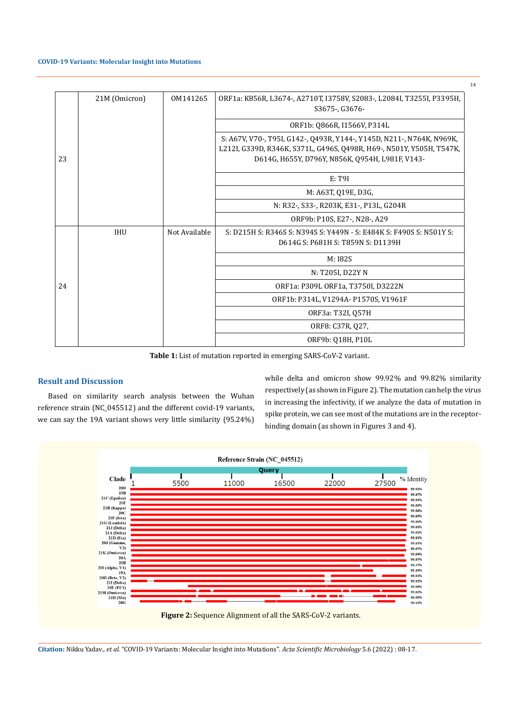#### **COVID-19 Variants: Molecular Insight into Mutations**

|    | 21M (Omicron) | 0M141265      | ORF1a: K856R, L3674-, A2710T, I3758V, S2083-, L2084I, T3255I, P3395H, |
|----|---------------|---------------|-----------------------------------------------------------------------|
|    |               |               | S3675-, G3676-                                                        |
|    |               |               | ORF1b: Q866R, I1566V, P314L                                           |
|    |               |               | S: A67V, V70-, T95I, G142-, Q493R, Y144-, Y145D, N211-, N764K, N969K, |
|    |               |               | L212I, G339D, R346K, S371L, G496S, Q498R, H69-, N501Y, Y505H, T547K,  |
| 23 |               |               | D614G, H655Y, D796Y, N856K, Q954H, L981F, V143-                       |
|    |               |               | E: T9I                                                                |
|    |               |               | M: A63T, Q19E, D3G,                                                   |
|    |               |               | N: R32-, S33-, R203K, E31-, P13L, G204R                               |
|    |               |               | ORF9b: P10S, E27-, N28-, A29                                          |
|    | <b>IHU</b>    | Not Available | S: D215H S: R346S S: N394S S: Y449N - S: E484K S: F490S S: N501Y S:   |
|    |               |               | D614G S: P681H S: T859N S: D1139H                                     |
|    |               |               | M: I82S                                                               |
|    |               |               | N: T205I, D22Y N                                                      |
| 24 |               |               | ORF1a: P309L ORF1a, T3750I, D3222N                                    |
|    |               |               | ORF1b: P314L, V1294A- P1570S, V1961F                                  |
|    |               |               | ORF3a: T32I, Q57H                                                     |
|    |               |               | ORF8: C37R, Q27,                                                      |
|    |               |               | ORF9b: 018H, P10L                                                     |

**Table 1:** List of mutation reported in emerging SARS-CoV-2 variant.

# **Result and Discussion**

Based on similarity search analysis between the Wuhan reference strain (NC\_045512) and the different covid-19 variants, we can say the 19A variant shows very little similarity (95.24%) while delta and omicron show 99.92% and 99.82% similarity respectively (as shown in Figure 2). The mutation can help the virus in increasing the infectivity, if we analyze the data of mutation in spike protein, we can see most of the mutations are in the receptorbinding domain (as shown in Figures 3 and 4).



**Citation:** Nikku Yadav*., et al.* "COVID-19 Variants: Molecular Insight into Mutations". *Acta Scientific Microbiology* 5.6 (2022) : 08-17.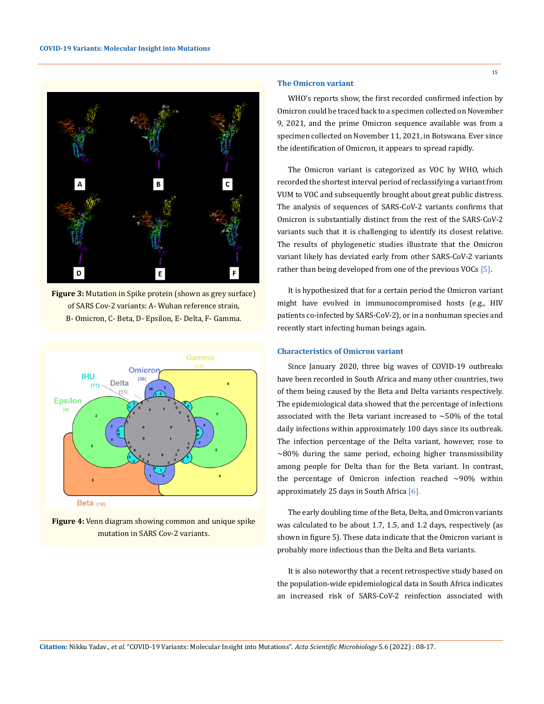

**Figure 3:** Mutation in Spike protein (shown as grey surface) of SARS Cov-2 variants: A- Wuhan reference strain, B- Omicron, C- Beta, D- Epsilon, E- Delta, F- Gamma.



**Figure 4:** Venn diagram showing common and unique spike mutation in SARS Cov-2 variants.

### **The Omicron variant**

WHO's reports show, the first recorded confirmed infection by Omicron could be traced back to a specimen collected on November 9, 2021, and the prime Omicron sequence available was from a specimen collected on November 11, 2021, in Botswana. Ever since the identification of Omicron, it appears to spread rapidly.

The Omicron variant is categorized as VOC by WHO, which recorded the shortest interval period of reclassifying a variant from VUM to VOC and subsequently brought about great public distress. The analysis of sequences of SARS-CoV-2 variants confirms that Omicron is substantially distinct from the rest of the SARS-CoV-2 variants such that it is challenging to identify its closest relative. The results of phylogenetic studies illustrate that the Omicron variant likely has deviated early from other SARS-CoV-2 variants rather than being developed from one of the previous VOCs [5].

It is hypothesized that for a certain period the Omicron variant might have evolved in immunocompromised hosts (e.g., HIV patients co-infected by SARS-CoV-2), or in a nonhuman species and recently start infecting human beings again.

### **Characteristics of Omicron variant**

Since January 2020, three big waves of COVID-19 outbreaks have been recorded in South Africa and many other countries, two of them being caused by the Beta and Delta variants respectively. The epidemiological data showed that the percentage of infections associated with the Beta variant increased to ∼50% of the total daily infections within approximately 100 days since its outbreak. The infection percentage of the Delta variant, however, rose to ∼80% during the same period, echoing higher transmissibility among people for Delta than for the Beta variant. In contrast, the percentage of Omicron infection reached ∼90% within approximately 25 days in South Africa [6].

The early doubling time of the Beta, Delta, and Omicron variants was calculated to be about 1.7, 1.5, and 1.2 days, respectively (as shown in figure 5). These data indicate that the Omicron variant is probably more infectious than the Delta and Beta variants.

It is also noteworthy that a recent retrospective study based on the population-wide epidemiological data in South Africa indicates an increased risk of SARS-CoV-2 reinfection associated with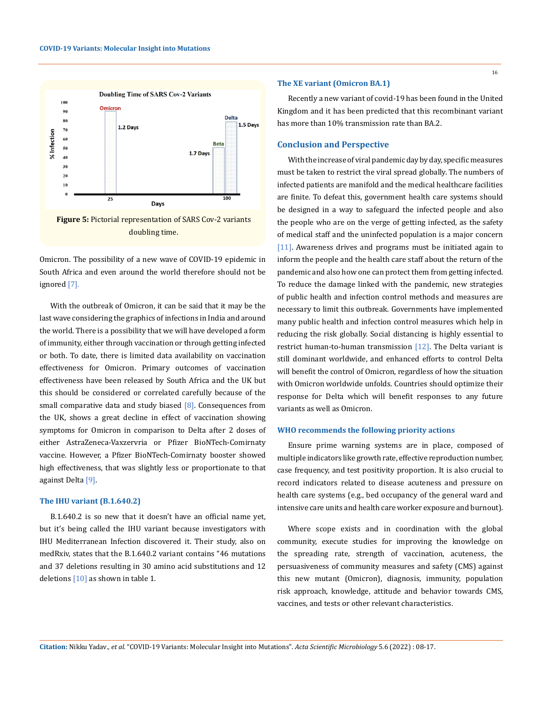

Omicron. The possibility of a new wave of COVID-19 epidemic in South Africa and even around the world therefore should not be ignored [7].

With the outbreak of Omicron, it can be said that it may be the last wave considering the graphics of infections in India and around the world. There is a possibility that we will have developed a form of immunity, either through vaccination or through getting infected or both. To date, there is limited data availability on vaccination effectiveness for Omicron. Primary outcomes of vaccination effectiveness have been released by South Africa and the UK but this should be considered or correlated carefully because of the small comparative data and study biased  $[8]$ . Consequences from the UK, shows a great decline in effect of vaccination showing symptoms for Omicron in comparison to Delta after 2 doses of either AstraZeneca-Vaxzervria or Pfizer BioNTech-Comirnaty vaccine. However, a Pfizer BioNTech-Comirnaty booster showed high effectiveness, that was slightly less or proportionate to that against Delta<sup>[9]</sup>.

#### **The IHU variant (B.1.640.2)**

B.1.640.2 is so new that it doesn't have an official name yet, but it's being called the IHU variant because investigators with IHU Mediterranean Infection discovered it. Their study, also on medRxiv, states that the B.1.640.2 variant contains "46 mutations and 37 deletions resulting in 30 amino acid substitutions and 12 deletions  $[10]$  as shown in table 1.

#### **The XE variant (Omicron BA.1)**

Recently a new variant of covid-19 has been found in the United Kingdom and it has been predicted that this recombinant variant has more than 10% transmission rate than BA.2.

### **Conclusion and Perspective**

With the increase of viral pandemic day by day, specific measures must be taken to restrict the viral spread globally. The numbers of infected patients are manifold and the medical healthcare facilities are finite. To defeat this, government health care systems should be designed in a way to safeguard the infected people and also the people who are on the verge of getting infected, as the safety of medical staff and the uninfected population is a major concern [11]. Awareness drives and programs must be initiated again to inform the people and the health care staff about the return of the pandemic and also how one can protect them from getting infected. To reduce the damage linked with the pandemic, new strategies of public health and infection control methods and measures are necessary to limit this outbreak. Governments have implemented many public health and infection control measures which help in reducing the risk globally. Social distancing is highly essential to restrict human-to-human transmission [12]. The Delta variant is still dominant worldwide, and enhanced efforts to control Delta will benefit the control of Omicron, regardless of how the situation with Omicron worldwide unfolds. Countries should optimize their response for Delta which will benefit responses to any future variants as well as Omicron.

### **WHO recommends the following priority actions**

Ensure prime warning systems are in place, composed of multiple indicators like growth rate, effective reproduction number, case frequency, and test positivity proportion. It is also crucial to record indicators related to disease acuteness and pressure on health care systems (e.g., bed occupancy of the general ward and intensive care units and health care worker exposure and burnout).

Where scope exists and in coordination with the global community, execute studies for improving the knowledge on the spreading rate, strength of vaccination, acuteness, the persuasiveness of community measures and safety (CMS) against this new mutant (Omicron), diagnosis, immunity, population risk approach, knowledge, attitude and behavior towards CMS, vaccines, and tests or other relevant characteristics.